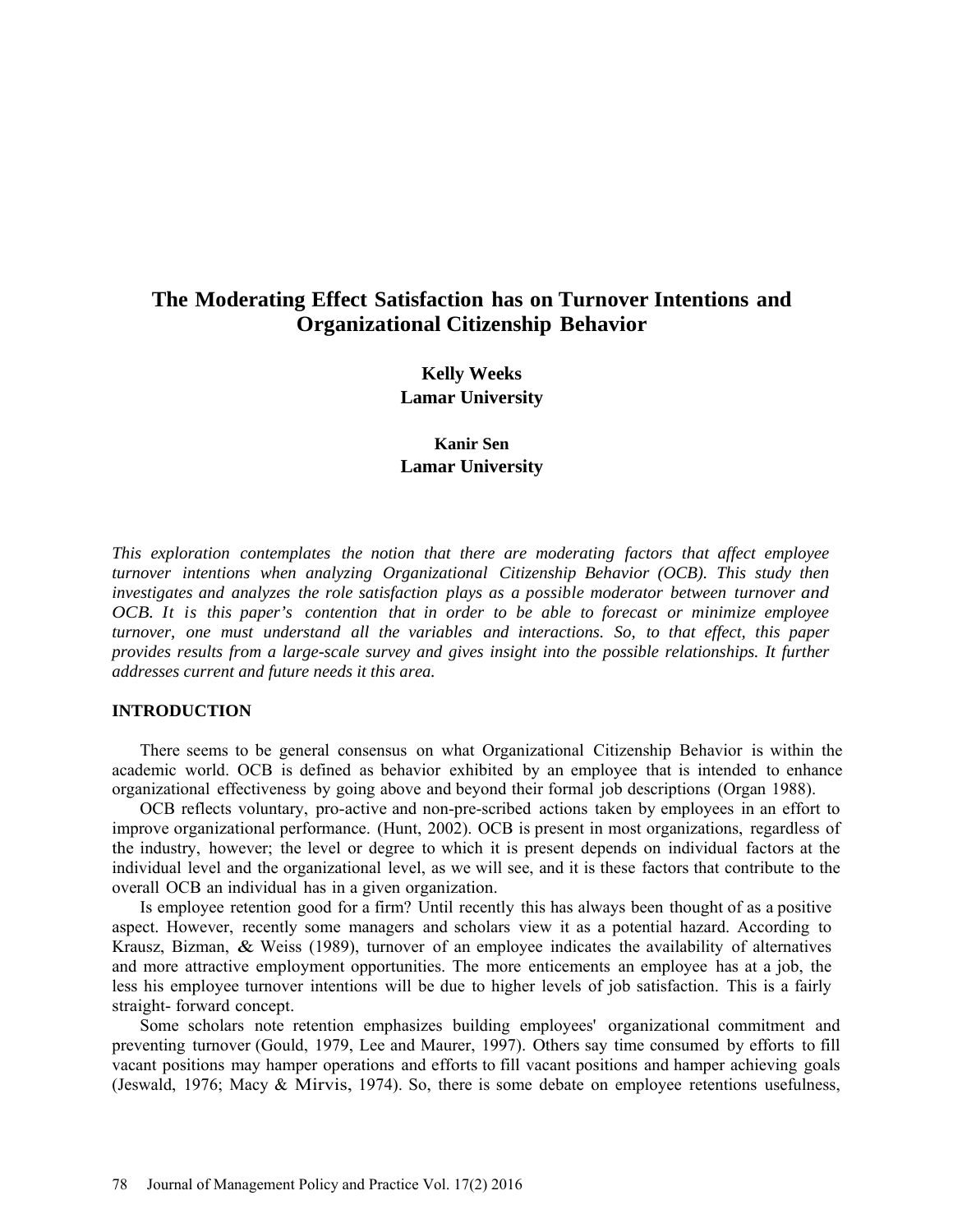# **The Moderating Effect Satisfaction has on Turnover Intentions and Organizational Citizenship Behavior**

**Kelly Weeks Lamar University**

**Kanir Sen Lamar University**

*This exploration contemplates the notion that there are moderating factors that affect employee turnover intentions when analyzing Organizational Citizenship Behavior (OCB). This study then investigates and analyzes the role satisfaction plays as a possible moderator between turnover and OCB. It is this paper's contention that in order to be able to forecast or minimize employee turnover, one must understand all the variables and interactions. So, to that effect, this paper provides results from a large-scale survey and gives insight into the possible relationships. It further addresses current and future needs it this area.*

#### **INTRODUCTION**

There seems to be general consensus on what Organizational Citizenship Behavior is within the academic world. OCB is defined as behavior exhibited by an employee that is intended to enhance organizational effectiveness by going above and beyond their formal job descriptions (Organ 1988).

OCB reflects voluntary, pro-active and non-pre-scribed actions taken by employees in an effort to improve organizational performance. (Hunt, 2002). OCB is present in most organizations, regardless of the industry, however; the level or degree to which it is present depends on individual factors at the individual level and the organizational level, as we will see, and it is these factors that contribute to the overall OCB an individual has in a given organization.

Is employee retention good for a firm? Until recently this has always been thought of as a positive aspect. However, recently some managers and scholars view it as a potential hazard. According to Krausz, Bizman, & Weiss (1989), turnover of an employee indicates the availability of alternatives and more attractive employment opportunities. The more enticements an employee has at a job, the less his employee turnover intentions will be due to higher levels of job satisfaction. This is a fairly straight- forward concept.

Some scholars note retention emphasizes building employees' organizational commitment and preventing turnover (Gould, 1979, Lee and Maurer, 1997). Others say time consumed by efforts to fill vacant positions may hamper operations and efforts to fill vacant positions and hamper achieving goals (Jeswald, 1976; Macy & Mirvis, 1974). So, there is some debate on employee retentions usefulness,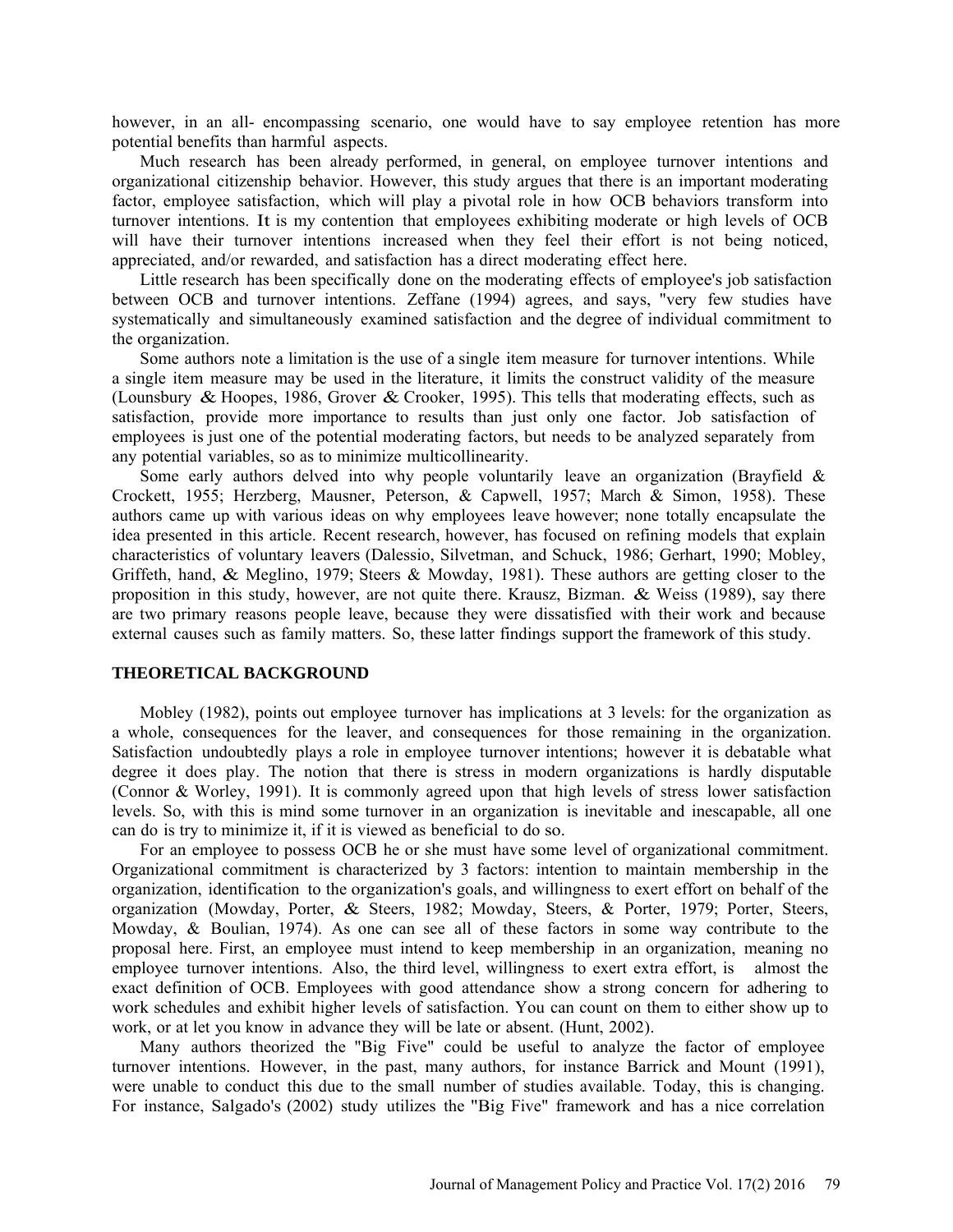however, in an all- encompassing scenario, one would have to say employee retention has more potential benefits than harmful aspects.

Much research has been already performed, in general, on employee turnover intentions and organizational citizenship behavior. However, this study argues that there is an important moderating factor, employee satisfaction, which will play a pivotal role in how OCB behaviors transform into turnover intentions. It is my contention that employees exhibiting moderate or high levels of OCB will have their turnover intentions increased when they feel their effort is not being noticed, appreciated, and/or rewarded, and satisfaction has a direct moderating effect here.

Little research has been specifically done on the moderating effects of employee's job satisfaction between OCB and turnover intentions. Zeffane (1994) agrees, and says, "very few studies have systematically and simultaneously examined satisfaction and the degree of individual commitment to the organization.

Some authors note a limitation is the use of a single item measure for turnover intentions. While a single item measure may be used in the literature, it limits the construct validity of the measure (Lounsbury & Hoopes, 1986, Grover & Crooker, 1995). This tells that moderating effects, such as satisfaction, provide more importance to results than just only one factor. Job satisfaction of employees is just one of the potential moderating factors, but needs to be analyzed separately from any potential variables, so as to minimize multicollinearity.

Some early authors delved into why people voluntarily leave an organization (Brayfield  $\&$ Crockett, 1955; Herzberg, Mausner, Peterson, & Capwell, 1957; March & Simon, 1958). These authors came up with various ideas on why employees leave however; none totally encapsulate the idea presented in this article. Recent research, however, has focused on refining models that explain characteristics of voluntary leavers (Dalessio, Silvetman, and Schuck, 1986; Gerhart, 1990; Mobley, Griffeth, hand, & Meglino, 1979; Steers & Mowday, 1981). These authors are getting closer to the proposition in this study, however, are not quite there. Krausz, Bizman.  $\&$  Weiss (1989), say there are two primary reasons people leave, because they were dissatisfied with their work and because external causes such as family matters. So, these latter findings support the framework of this study.

#### **THEORETICAL BACKGROUND**

Mobley (1982), points out employee turnover has implications at 3 levels: for the organization as a whole, consequences for the leaver, and consequences for those remaining in the organization. Satisfaction undoubtedly plays a role in employee turnover intentions; however it is debatable what degree it does play. The notion that there is stress in modern organizations is hardly disputable (Connor & Worley, 1991). It is commonly agreed upon that high levels of stress lower satisfaction levels. So, with this is mind some turnover in an organization is inevitable and inescapable, all one can do is try to minimize it, if it is viewed as beneficial to do so.

For an employee to possess OCB he or she must have some level of organizational commitment. Organizational commitment is characterized by 3 factors: intention to maintain membership in the organization, identification to the organization's goals, and willingness to exert effort on behalf of the organization (Mowday, Porter, & Steers, 1982; Mowday, Steers, & Porter, 1979; Porter, Steers, Mowday, & Boulian, 1974). As one can see all of these factors in some way contribute to the proposal here. First, an employee must intend to keep membership in an organization, meaning no employee turnover intentions. Also, the third level, willingness to exert extra effort, is almost the exact definition of OCB. Employees with good attendance show a strong concern for adhering to work schedules and exhibit higher levels of satisfaction. You can count on them to either show up to work, or at let you know in advance they will be late or absent. (Hunt, 2002).

Many authors theorized the "Big Five" could be useful to analyze the factor of employee turnover intentions. However, in the past, many authors, for instance Barrick and Mount (1991), were unable to conduct this due to the small number of studies available. Today, this is changing. For instance, Salgado's (2002) study utilizes the "Big Five" framework and has a nice correlation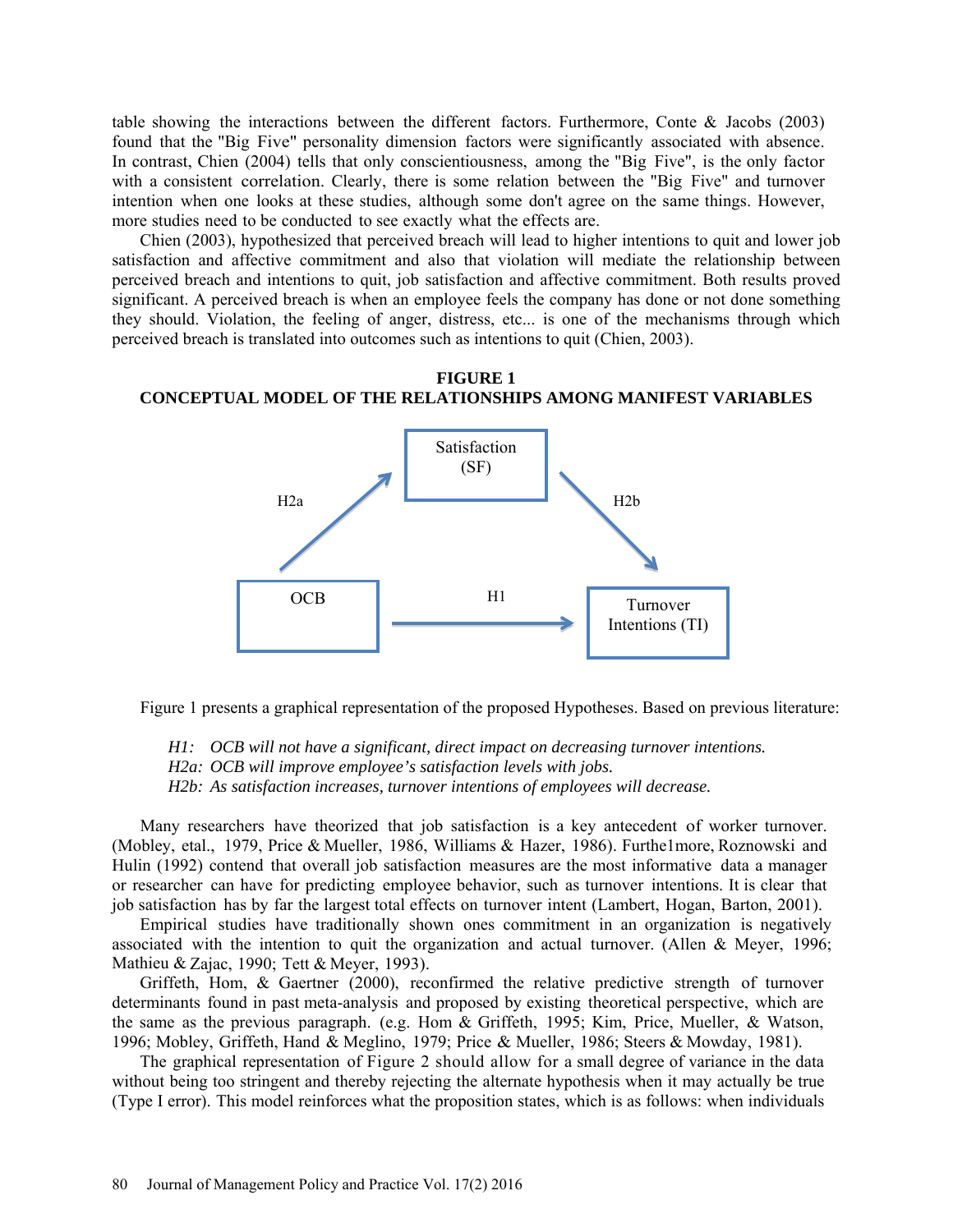table showing the interactions between the different factors. Furthermore, Conte & Jacobs (2003) found that the "Big Five" personality dimension factors were significantly associated with absence. In contrast, Chien (2004) tells that only conscientiousness, among the "Big Five", is the only factor with a consistent correlation. Clearly, there is some relation between the "Big Five" and turnover intention when one looks at these studies, although some don't agree on the same things. However, more studies need to be conducted to see exactly what the effects are.

Chien (2003), hypothesized that perceived breach will lead to higher intentions to quit and lower job satisfaction and affective commitment and also that violation will mediate the relationship between perceived breach and intentions to quit, job satisfaction and affective commitment. Both results proved significant. A perceived breach is when an employee feels the company has done or not done something they should. Violation, the feeling of anger, distress, etc... is one of the mechanisms through which perceived breach is translated into outcomes such as intentions to quit (Chien, 2003).

### **FIGURE 1 CONCEPTUAL MODEL OF THE RELATIONSHIPS AMONG MANIFEST VARIABLES**



Figure 1 presents a graphical representation of the proposed Hypotheses. Based on previous literature:

*H1: OCB will not have a significant, direct impact on decreasing turnover intentions. H2a: OCB will improve employee's satisfaction levels with jobs. H2b: As satisfaction increases, turnover intentions of employees will decrease.* 

Many researchers have theorized that job satisfaction is a key antecedent of worker turnover. (Mobley, etal., 1979, Price & Mueller, 1986, Williams & Hazer, 1986). Furthe1more, Roznowski and Hulin (1992) contend that overall job satisfaction measures are the most informative data a manager or researcher can have for predicting employee behavior, such as turnover intentions. It is clear that job satisfaction has by far the largest total effects on turnover intent (Lambert, Hogan, Barton, 2001).

Empirical studies have traditionally shown ones commitment in an organization is negatively associated with the intention to quit the organization and actual turnover. (Allen & Meyer, 1996; Mathieu & Zajac, 1990; Tett & Meyer, 1993).

Griffeth, Hom, & Gaertner (2000), reconfirmed the relative predictive strength of turnover determinants found in past meta-analysis and proposed by existing theoretical perspective, which are the same as the previous paragraph. (e.g. Hom & Griffeth, 1995; Kim, Price, Mueller, & Watson, 1996; Mobley, Griffeth, Hand & Meglino, 1979; Price & Mueller, 1986; Steers & Mowday, 1981).

The graphical representation of Figure 2 should allow for a small degree of variance in the data without being too stringent and thereby rejecting the alternate hypothesis when it may actually be true (Type I error). This model reinforces what the proposition states, which is as follows: when individuals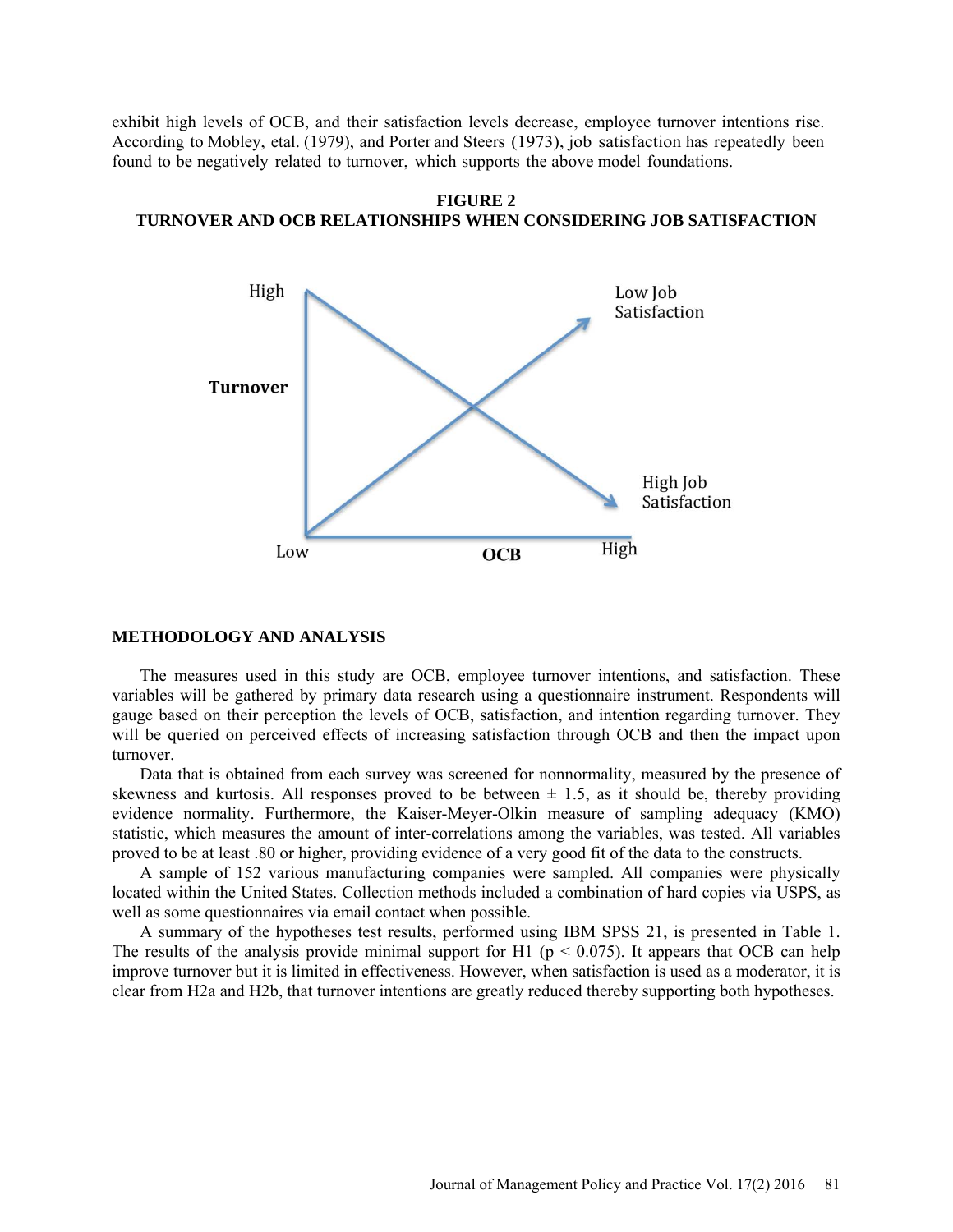exhibit high levels of OCB, and their satisfaction levels decrease, employee turnover intentions rise. According to Mobley, etal. (1979), and Porter and Steers (1973), job satisfaction has repeatedly been found to be negatively related to turnover, which supports the above model foundations.





#### **METHODOLOGY AND ANALYSIS**

The measures used in this study are OCB, employee turnover intentions, and satisfaction. These variables will be gathered by primary data research using a questionnaire instrument. Respondents will gauge based on their perception the levels of OCB, satisfaction, and intention regarding turnover. They will be queried on perceived effects of increasing satisfaction through OCB and then the impact upon turnover.

Data that is obtained from each survey was screened for nonnormality, measured by the presence of skewness and kurtosis. All responses proved to be between  $\pm$  1.5, as it should be, thereby providing evidence normality. Furthermore, the Kaiser-Meyer-Olkin measure of sampling adequacy (KMO) statistic, which measures the amount of inter-correlations among the variables, was tested. All variables proved to be at least .80 or higher, providing evidence of a very good fit of the data to the constructs.

A sample of 152 various manufacturing companies were sampled. All companies were physically located within the United States. Collection methods included a combination of hard copies via USPS, as well as some questionnaires via email contact when possible.

A summary of the hypotheses test results, performed using IBM SPSS 21, is presented in Table 1. The results of the analysis provide minimal support for H1 ( $p < 0.075$ ). It appears that OCB can help improve turnover but it is limited in effectiveness. However, when satisfaction is used as a moderator, it is clear from H2a and H2b, that turnover intentions are greatly reduced thereby supporting both hypotheses.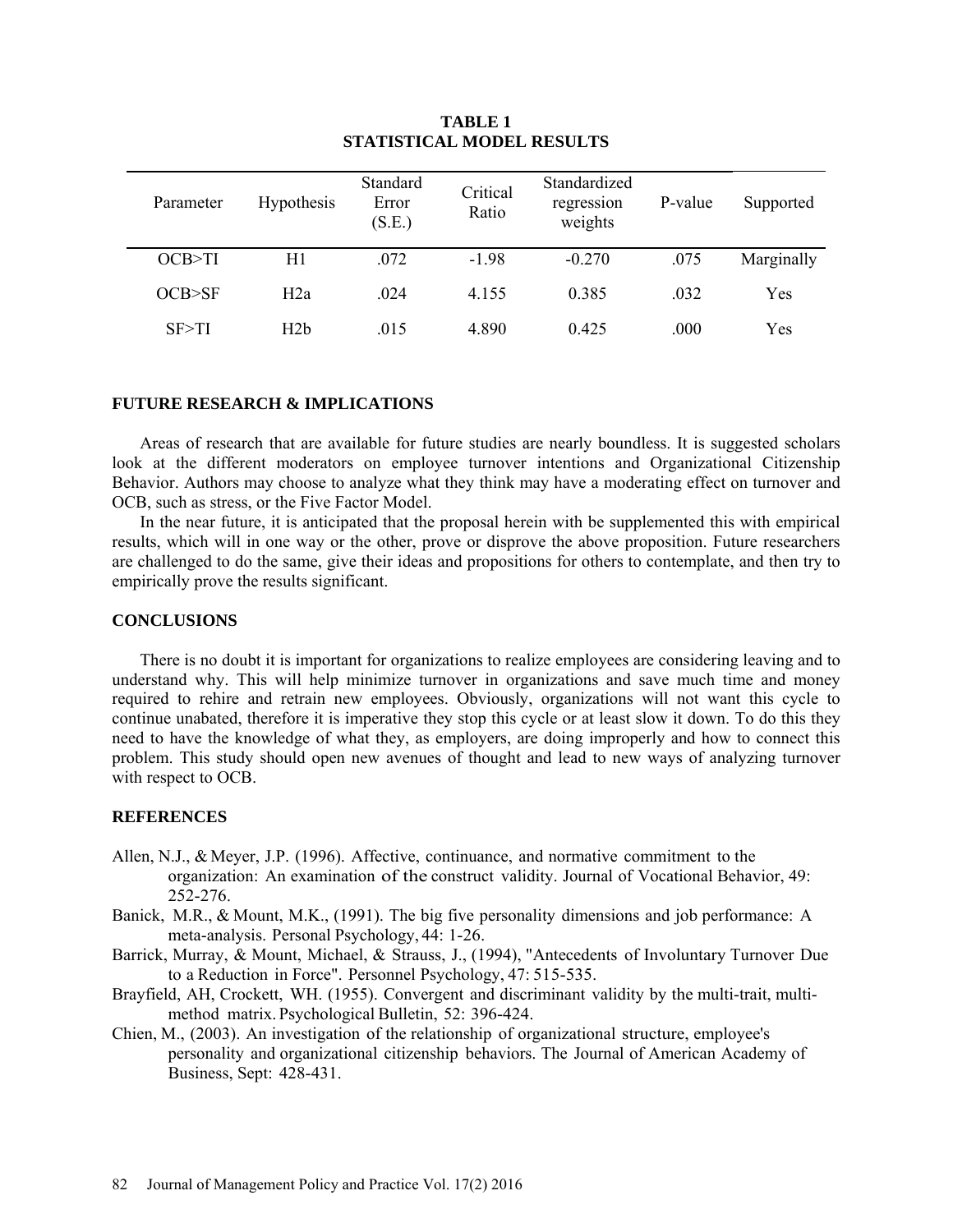| Parameter | <b>Hypothesis</b> | Standard<br>Error<br>(S.E.) | Critical<br>Ratio | Standardized<br>regression<br>weights | P-value | Supported  |
|-----------|-------------------|-----------------------------|-------------------|---------------------------------------|---------|------------|
| OCB > TI  | H1                | .072                        | $-1.98$           | $-0.270$                              | .075    | Marginally |
| OCB > SF  | H2a               | .024                        | 4.155             | 0.385                                 | .032    | Yes        |
| SF > TI   | H2b               | .015                        | 4.890             | 0.425                                 | .000    | Yes        |

# **TABLE 1 STATISTICAL MODEL RESULTS**

## **FUTURE RESEARCH & IMPLICATIONS**

Areas of research that are available for future studies are nearly boundless. It is suggested scholars look at the different moderators on employee turnover intentions and Organizational Citizenship Behavior. Authors may choose to analyze what they think may have a moderating effect on turnover and OCB, such as stress, or the Five Factor Model.

In the near future, it is anticipated that the proposal herein with be supplemented this with empirical results, which will in one way or the other, prove or disprove the above proposition. Future researchers are challenged to do the same, give their ideas and propositions for others to contemplate, and then try to empirically prove the results significant.

### **CONCLUSIONS**

There is no doubt it is important for organizations to realize employees are considering leaving and to understand why. This will help minimize turnover in organizations and save much time and money required to rehire and retrain new employees. Obviously, organizations will not want this cycle to continue unabated, therefore it is imperative they stop this cycle or at least slow it down. To do this they need to have the knowledge of what they, as employers, are doing improperly and how to connect this problem. This study should open new avenues of thought and lead to new ways of analyzing turnover with respect to OCB.

## **REFERENCES**

- Allen, N.J., & Meyer, J.P. (1996). Affective, continuance, and normative commitment to the organization: An examination of the construct validity. Journal of Vocational Behavior, 49: 252-276.
- Banick, M.R., & Mount, M.K., (1991). The big five personality dimensions and job performance: A meta-analysis. Personal Psychology, 44: 1-26.
- Barrick, Murray, & Mount, Michael, & Strauss, J., (1994), "Antecedents of Involuntary Turnover Due to a Reduction in Force". Personnel Psychology, 47: 515-535.
- Brayfield, AH, Crockett, WH. (1955). Convergent and discriminant validity by the multi-trait, multimethod matrix. Psychological Bulletin, 52: 396-424.
- Chien, M., (2003). An investigation of the relationship of organizational structure, employee's personality and organizational citizenship behaviors. The Journal of American Academy of Business, Sept: 428-431.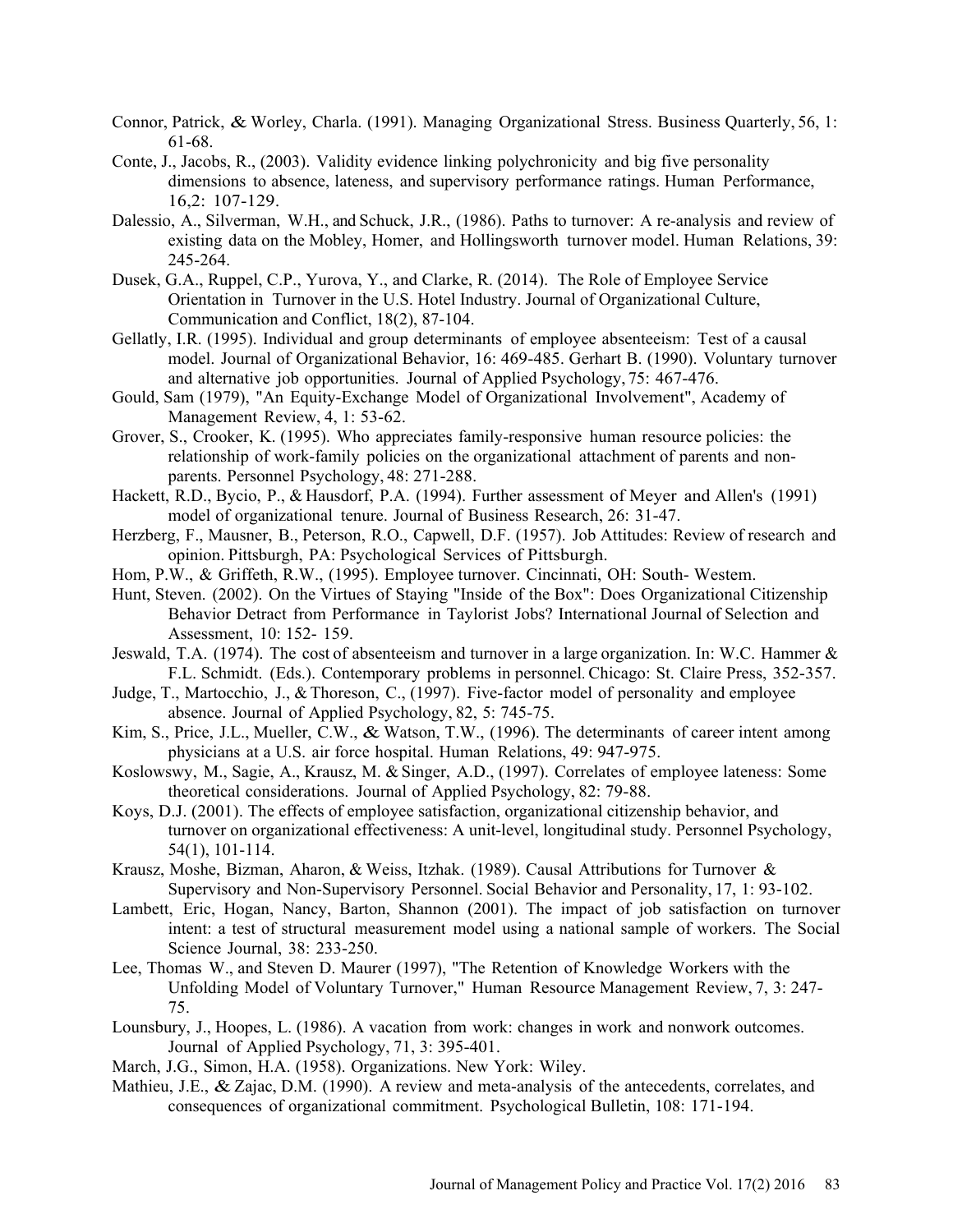- Connor, Patrick, & Worley, Charla. (1991). Managing Organizational Stress. Business Quarterly, 56, 1: 61-68.
- Conte, J., Jacobs, R., (2003). Validity evidence linking polychronicity and big five personality dimensions to absence, lateness, and supervisory performance ratings. Human Performance, 16,2: 107-129.
- Dalessio, A., Silverman, W.H., and Schuck, J.R., (1986). Paths to turnover: A re-analysis and review of existing data on the Mobley, Homer, and Hollingsworth turnover model. Human Relations, 39: 245-264.
- Dusek, G.A., Ruppel, C.P., Yurova, Y., and Clarke, R. (2014). The Role of Employee Service Orientation in Turnover in the U.S. Hotel Industry. Journal of Organizational Culture, Communication and Conflict, 18(2), 87-104.
- Gellatly, I.R. (1995). Individual and group determinants of employee absenteeism: Test of a causal model. Journal of Organizational Behavior, 16: 469-485. Gerhart B. (1990). Voluntary turnover and alternative job opportunities. Journal of Applied Psychology, 75: 467-476.
- Gould, Sam (1979), "An Equity-Exchange Model of Organizational Involvement", Academy of Management Review, 4, 1: 53-62.
- Grover, S., Crooker, K. (1995). Who appreciates family-responsive human resource policies: the relationship of work-family policies on the organizational attachment of parents and nonparents. Personnel Psychology, 48: 271-288.
- Hackett, R.D., Bycio, P., & Hausdorf, P.A. (1994). Further assessment of Meyer and Allen's (1991) model of organizational tenure. Journal of Business Research, 26: 31-47.
- Herzberg, F., Mausner, B., Peterson, R.O., Capwell, D.F. (1957). Job Attitudes: Review of research and opinion. Pittsburgh, PA: Psychological Services of Pittsburgh.
- Hom, P.W., & Griffeth, R.W., (1995). Employee turnover. Cincinnati, OH: South- Westem.
- Hunt, Steven. (2002). On the Virtues of Staying "Inside of the Box": Does Organizational Citizenship Behavior Detract from Performance in Taylorist Jobs? International Journal of Selection and Assessment, 10: 152- 159.
- Jeswald, T.A. (1974). The cost of absenteeism and turnover in a large organization. In: W.C. Hammer & F.L. Schmidt. (Eds.). Contemporary problems in personnel. Chicago: St. Claire Press, 352-357.
- Judge, T., Martocchio, J., & Thoreson, C., (1997). Five-factor model of personality and employee absence. Journal of Applied Psychology, 82, 5: 745-75.
- Kim, S., Price, J.L., Mueller, C.W., & Watson, T.W., (1996). The determinants of career intent among physicians at a U.S. air force hospital. Human Relations, 49: 947-975.
- Koslowswy, M., Sagie, A., Krausz, M. & Singer, A.D., (1997). Correlates of employee lateness: Some theoretical considerations. Journal of Applied Psychology, 82: 79-88.
- Koys, D.J. (2001). The effects of employee satisfaction, organizational citizenship behavior, and turnover on organizational effectiveness: A unit-level, longitudinal study. Personnel Psychology, 54(1), 101-114.
- Krausz, Moshe, Bizman, Aharon, & Weiss, Itzhak. (1989). Causal Attributions for Turnover & Supervisory and Non-Supervisory Personnel. Social Behavior and Personality, 17, 1: 93-102.
- Lambett, Eric, Hogan, Nancy, Barton, Shannon (2001). The impact of job satisfaction on turnover intent: a test of structural measurement model using a national sample of workers. The Social Science Journal, 38: 233-250.
- Lee, Thomas W., and Steven D. Maurer (1997), "The Retention of Knowledge Workers with the Unfolding Model of Voluntary Turnover," Human Resource Management Review, 7, 3: 247- 75.
- Lounsbury, J., Hoopes, L. (1986). A vacation from work: changes in work and nonwork outcomes. Journal of Applied Psychology, 71, 3: 395-401.
- March, J.G., Simon, H.A. (1958). Organizations. New York: Wiley.
- Mathieu, J.E., & Zajac, D.M. (1990). A review and meta-analysis of the antecedents, correlates, and consequences of organizational commitment. Psychological Bulletin, 108: 171-194.